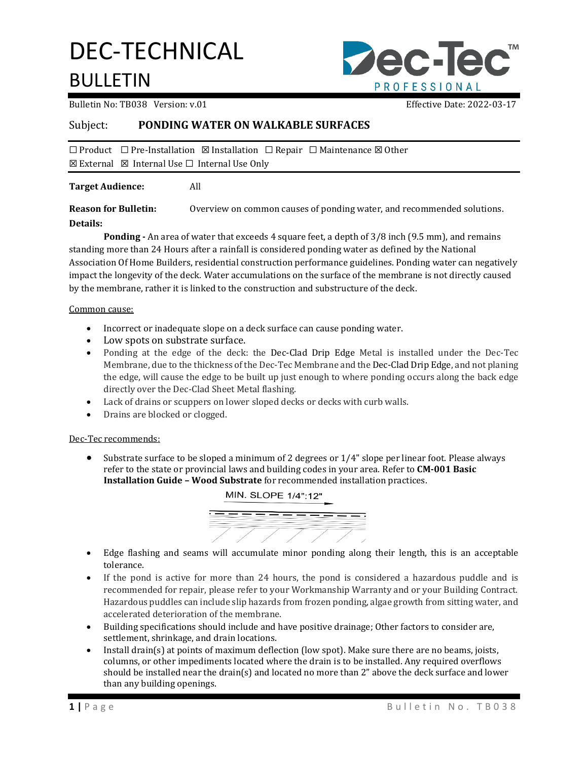# DEC-TECHNICAL

### BULLETIN

Bulletin No: TB038 Version: v.01 Effective Date: 2022-03-17

#### Subject: **PONDING WATER ON WALKABLE SURFACES**

☐ Product ☐ Pre-Installation ☒ Installation ☐ Repair ☐ Maintenance ☒ Other ☒ External ☒ Internal Use ☐ Internal Use Only

**Target Audience:** All

**Reason for Bulletin:** Overview on common causes of ponding water, and recommended solutions.

#### **Details:**

**Ponding -** An area of water that exceeds 4 square feet, a depth of 3/8 inch (9.5 mm), and remains standing more than 24 Hours after a rainfall is considered ponding water as defined by the National Association Of Home Builders, residential construction performance guidelines. Ponding water can negatively impact the longevity of the deck. Water accumulations on the surface of the membrane is not directly caused by the membrane, rather it is linked to the construction and substructure of the deck.

#### Common cause:

- Incorrect or inadequate slope on a deck surface can cause ponding water.
- Low spots on substrate surface.
- Ponding at the edge of the deck: the Dec-Clad Drip Edge Metal is installed under the Dec-Tec Membrane, due to the thickness of the Dec-Tec Membrane and the Dec-Clad Drip Edge, and not planing the edge, will cause the edge to be built up just enough to where ponding occurs along the back edge directly over the Dec-Clad Sheet Metal flashing.
- Lack of drains or scuppers on lower sloped decks or decks with curb walls.
- Drains are blocked or clogged.

#### Dec-Tec recommends:

• Substrate surface to be sloped a minimum of 2 degrees or 1/4" slope per linear foot. Please always refer to the state or provincial laws and building codes in your area. Refer to **CM-001 Basic Installation Guide – Wood Substrate** for recommended installation practices.



- Edge flashing and seams will accumulate minor ponding along their length, this is an acceptable tolerance.
- If the pond is active for more than 24 hours, the pond is considered a hazardous puddle and is recommended for repair, please refer to your Workmanship Warranty and or your Building Contract. Hazardous puddles can include slip hazards from frozen ponding, algae growth from sitting water, and accelerated deterioration of the membrane.
- Building specifications should include and have positive drainage; Other factors to consider are, settlement, shrinkage, and drain locations.
- Install drain(s) at points of maximum deflection (low spot). Make sure there are no beams, joists, columns, or other impediments located where the drain is to be installed. Any required overflows should be installed near the drain(s) and located no more than 2" above the deck surface and lower than any building openings.